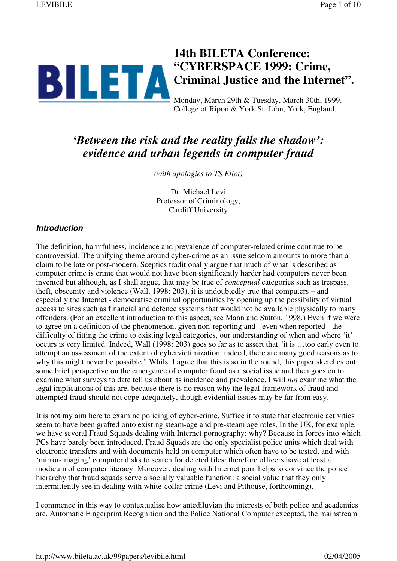# **14th BILETA Conference: "CYBERSPACE 1999: Crime, Criminal Justice and the Internet".** Monday, March 29th & Tuesday, March 30th, 1999.

College of Ripon & York St. John, York, England.

## *'Between the risk and the reality falls the shadow': evidence and urban legends in computer fraud*

*(with apologies to TS Eliot)*

Dr. Michael Levi Professor of Criminology, Cardiff University

#### **Introduction**

The definition, harmfulness, incidence and prevalence of computer-related crime continue to be controversial. The unifying theme around cyber-crime as an issue seldom amounts to more than a claim to be late or post-modern. Sceptics traditionally argue that much of what is described as computer crime is crime that would not have been significantly harder had computers never been invented but although, as I shall argue, that may be true of *conceptual* categories such as trespass, theft, obscenity and violence (Wall, 1998: 203), it is undoubtedly true that computers – and especially the Internet - democratise criminal opportunities by opening up the possibility of virtual access to sites such as financial and defence systems that would not be available physically to many offenders. (For an excellent introduction to this aspect, see Mann and Sutton, 1998.) Even if we were to agree on a definition of the phenomenon, given non-reporting and - even when reported - the difficulty of fitting the crime to existing legal categories, our understanding of when and where 'it' occurs is very limited. Indeed, Wall (1998: 203) goes so far as to assert that "it is …too early even to attempt an assessment of the extent of cybervictimization, indeed, there are many good reasons as to why this might never be possible." Whilst I agree that this is so in the round, this paper sketches out some brief perspective on the emergence of computer fraud as a social issue and then goes on to examine what surveys to date tell us about its incidence and prevalence. I will *not* examine what the legal implications of this are, because there is no reason why the legal framework of fraud and attempted fraud should not cope adequately, though evidential issues may be far from easy.

It is not my aim here to examine policing of cyber-crime. Suffice it to state that electronic activities seem to have been grafted onto existing steam-age and pre-steam age roles. In the UK, for example, we have several Fraud Squads dealing with Internet pornography: why? Because in forces into which PCs have barely been introduced, Fraud Squads are the only specialist police units which deal with electronic transfers and with documents held on computer which often have to be tested, and with 'mirror-imaging' computer disks to search for deleted files: therefore officers have at least a modicum of computer literacy. Moreover, dealing with Internet porn helps to convince the police hierarchy that fraud squads serve a socially valuable function: a social value that they only intermittently see in dealing with white-collar crime (Levi and Pithouse, forthcoming).

I commence in this way to contextualise how antediluvian the interests of both police and academics are. Automatic Fingerprint Recognition and the Police National Computer excepted, the mainstream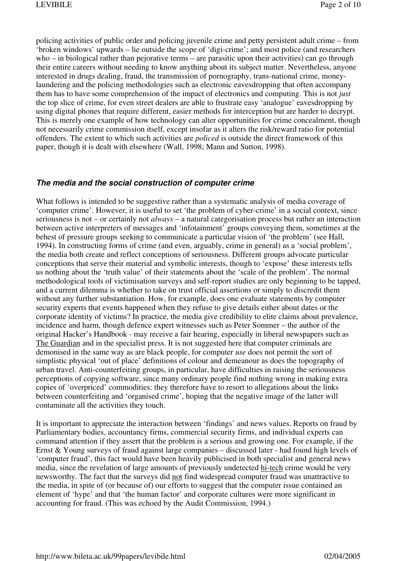policing activities of public order and policing juvenile crime and petty persistent adult crime – from 'broken windows' upwards – lie outside the scope of 'digi-crime'; and most police (and researchers who – in biological rather than pejorative terms – are parasitic upon their activities) can go through their entire careers without needing to know anything about its subject matter. Nevertheless, anyone interested in drugs dealing, fraud, the transmission of pornography, trans-national crime, moneylaundering and the policing methodologies such as electronic eavesdropping that often accompany them has to have some comprehension of the impact of electronics and computing. This is not *just* the top slice of crime, for even street dealers are able to frustrate easy 'analogue' eavesdropping by using digital phones that require different, easier methods for interception but are harder to decrypt. This is merely one example of how technology can alter opportunities for crime concealment, though not necessarily crime commission itself, except insofar as it alters the risk/reward ratio for potential offenders. The extent to which such activities are *policed* is outside the direct framework of this paper, though it is dealt with elsewhere (Wall, 1998; Mann and Sutton, 1998).

#### **The media and the social construction of computer crime**

What follows is intended to be suggestive rather than a systematic analysis of media coverage of 'computer crime'. However, it is useful to set 'the problem of cyber-crime' in a social context, since seriousness is not – or certainly not *always* – a natural categorisation process but rather an interaction between active interpreters of messages and 'infotainment' groups conveying them, sometimes at the behest of pressure groups seeking to communicate a particular vision of 'the problem' (see Hall, 1994). In constructing forms of crime (and even, arguably, crime in general) as a 'social problem', the media both create and reflect conceptions of seriousness. Different groups advocate particular conceptions that serve their material and symbolic interests, though to 'expose' these interests tells us nothing about the 'truth value' of their statements about the 'scale of the problem'. The normal methodological tools of victimisation surveys and self-report studies are only beginning to be tapped, and a current dilemma is whether to take on trust official assertions or simply to discredit them without any further substantiation. How, for example, does one evaluate statements by computer security experts that events happened when they refuse to give details either about dates or the corporate identity of victims? In practice, the media give credibility to elite claims about prevalence, incidence and harm, though defence expert witnesses such as Peter Sommer – the author of the original Hacker's Handbook - may receive a fair hearing, especially in liberal newspapers such as The Guardian and in the specialist press. It is not suggested here that computer criminals are demonised in the same way as are black people, for computer *use* does not permit the sort of simplistic physical 'out of place' definitions of colour and demeanour as does the topography of urban travel. Anti-counterfeiting groups, in particular, have difficulties in raising the seriousness perceptions of copying software, since many ordinary people find nothing wrong in making extra copies of 'overpriced' commodities: they therefore have to resort to allegations about the links between counterfeiting and 'organised crime', hoping that the negative image of the latter will contaminate all the activities they touch.

It is important to appreciate the interaction between 'findings' and news values. Reports on fraud by Parliamentary bodies, accountancy firms, commercial security firms, and individual experts can command attention if they assert that the problem is a serious and growing one. For example, if the Ernst & Young surveys of fraud against large companies – discussed later - had found high levels of 'computer fraud', this fact would have been heavily publicised in both specialist and general news media, since the revelation of large amounts of previously undetected hi-tech crime would be very newsworthy. The fact that the surveys did not find widespread computer fraud was unattractive to the media, in spite of (or because of) our efforts to suggest that the computer issue contained an element of 'hype' and that 'the human factor' and corporate cultures were more significant in accounting for fraud. (This was echoed by the Audit Commission, 1994.)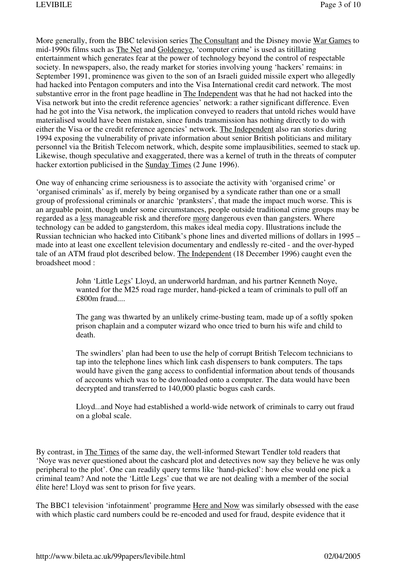More generally, from the BBC television series The Consultant and the Disney movie War Games to mid-1990s films such as The Net and Goldeneye, 'computer crime' is used as titillating entertainment which generates fear at the power of technology beyond the control of respectable society. In newspapers, also, the ready market for stories involving young 'hackers' remains: in September 1991, prominence was given to the son of an Israeli guided missile expert who allegedly had hacked into Pentagon computers and into the Visa International credit card network. The most substantive error in the front page headline in The Independent was that he had not hacked into the Visa network but into the credit reference agencies' network: a rather significant difference. Even had he got into the Visa network, the implication conveyed to readers that untold riches would have materialised would have been mistaken, since funds transmission has nothing directly to do with either the Visa or the credit reference agencies' network. The Independent also ran stories during 1994 exposing the vulnerability of private information about senior British politicians and military personnel via the British Telecom network, which, despite some implausibilities, seemed to stack up. Likewise, though speculative and exaggerated, there was a kernel of truth in the threats of computer hacker extortion publicised in the Sunday Times (2 June 1996).

One way of enhancing crime seriousness is to associate the activity with 'organised crime' or 'organised criminals' as if, merely by being organised by a syndicate rather than one or a small group of professional criminals or anarchic 'pranksters', that made the impact much worse. This is an arguable point, though under some circumstances, people outside traditional crime groups may be regarded as a less manageable risk and therefore more dangerous even than gangsters. Where technology can be added to gangsterdom, this makes ideal media copy. Illustrations include the Russian technician who hacked into Citibank's phone lines and diverted millions of dollars in 1995 – made into at least one excellent television documentary and endlessly re-cited - and the over-hyped tale of an ATM fraud plot described below. The Independent (18 December 1996) caught even the broadsheet mood :

> John 'Little Legs' Lloyd, an underworld hardman, and his partner Kenneth Noye, wanted for the M25 road rage murder, hand-picked a team of criminals to pull off an £800m fraud....

The gang was thwarted by an unlikely crime-busting team, made up of a softly spoken prison chaplain and a computer wizard who once tried to burn his wife and child to death.

The swindlers' plan had been to use the help of corrupt British Telecom technicians to tap into the telephone lines which link cash dispensers to bank computers. The taps would have given the gang access to confidential information about tends of thousands of accounts which was to be downloaded onto a computer. The data would have been decrypted and transferred to 140,000 plastic bogus cash cards.

Lloyd...and Noye had established a world-wide network of criminals to carry out fraud on a global scale.

By contrast, in The Times of the same day, the well-informed Stewart Tendler told readers that 'Noye was never questioned about the cashcard plot and detectives now say they believe he was only peripheral to the plot'. One can readily query terms like 'hand-picked': how else would one pick a criminal team? And note the 'Little Legs' cue that we are not dealing with a member of the social élite here! Lloyd was sent to prison for five years.

The BBC1 television 'infotainment' programme Here and Now was similarly obsessed with the ease with which plastic card numbers could be re-encoded and used for fraud, despite evidence that it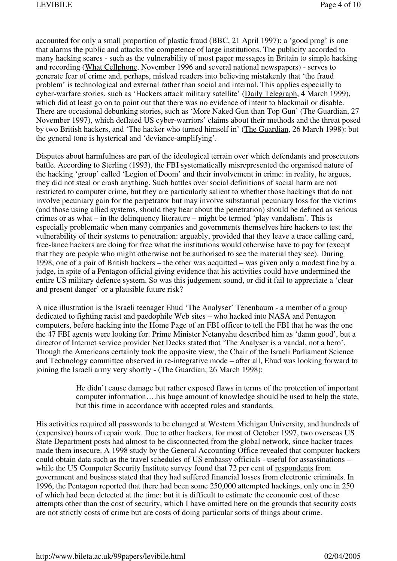accounted for only a small proportion of plastic fraud (BBC, 21 April 1997): a 'good prog' is one that alarms the public and attacks the competence of large institutions. The publicity accorded to many hacking scares - such as the vulnerability of most pager messages in Britain to simple hacking and recording (What Cellphone, November 1996 and several national newspapers) - serves to generate fear of crime and, perhaps, mislead readers into believing mistakenly that 'the fraud problem' is technological and external rather than social and internal. This applies especially to cyber-warfare stories, such as 'Hackers attack military satellite' (Daily Telegraph, 4 March 1999), which did at least go on to point out that there was no evidence of intent to blackmail or disable. There are occasional debunking stories, such as 'More Naked Gun than Top Gun' (The Guardian, 27 November 1997), which deflated US cyber-warriors' claims about their methods and the threat posed by two British hackers, and 'The hacker who turned himself in' (The Guardian, 26 March 1998): but the general tone is hysterical and 'deviance-amplifying'.

Disputes about harmfulness are part of the ideological terrain over which defendants and prosecutors battle. According to Sterling (1993), the FBI systematically misrepresented the organised nature of the hacking 'group' called 'Legion of Doom' and their involvement in crime: in reality, he argues, they did not steal or crash anything. Such battles over social definitions of social harm are not restricted to computer crime, but they are particularly salient to whether those hackings that do not involve pecuniary gain for the perpetrator but may involve substantial pecuniary loss for the victims (and those using allied systems, should they hear about the penetration) should be defined as serious crimes or as what – in the delinquency literature – might be termed 'play vandalism'. This is especially problematic when many companies and governments themselves hire hackers to test the vulnerability of their systems to penetration: arguably, provided that they leave a trace calling card, free-lance hackers are doing for free what the institutions would otherwise have to pay for (except that they are people who might otherwise not be authorised to see the material they see). During 1998, one of a pair of British hackers – the other was acquitted – was given only a modest fine by a judge, in spite of a Pentagon official giving evidence that his activities could have undermined the entire US military defence system. So was this judgement sound, or did it fail to appreciate a 'clear and present danger' or a plausible future risk?

A nice illustration is the Israeli teenager Ehud 'The Analyser' Tenenbaum - a member of a group dedicated to fighting racist and paedophile Web sites – who hacked into NASA and Pentagon computers, before hacking into the Home Page of an FBI officer to tell the FBI that he was the one the 47 FBI agents were looking for. Prime Minister Netanyahu described him as 'damn good', but a director of Internet service provider Net Decks stated that 'The Analyser is a vandal, not a hero'. Though the Americans certainly took the opposite view, the Chair of the Israeli Parliament Science and Technology committee observed in re-integrative mode – after all, Ehud was looking forward to joining the Israeli army very shortly - (The Guardian, 26 March 1998):

> He didn't cause damage but rather exposed flaws in terms of the protection of important computer information….his huge amount of knowledge should be used to help the state, but this time in accordance with accepted rules and standards.

His activities required all passwords to be changed at Western Michigan University, and hundreds of (expensive) hours of repair work. Due to other hackers, for most of October 1997, two overseas US State Department posts had almost to be disconnected from the global network, since hacker traces made them insecure. A 1998 study by the General Accounting Office revealed that computer hackers could obtain data such as the travel schedules of US embassy officials - useful for assassinations – while the US Computer Security Institute survey found that 72 per cent of respondents from government and business stated that they had suffered financial losses from electronic criminals. In 1996, the Pentagon reported that there had been some 250,000 attempted hackings, only one in 250 of which had been detected at the time: but it is difficult to estimate the economic cost of these attempts other than the cost of security, which I have omitted here on the grounds that security costs are not strictly costs of crime but are costs of doing particular sorts of things about crime.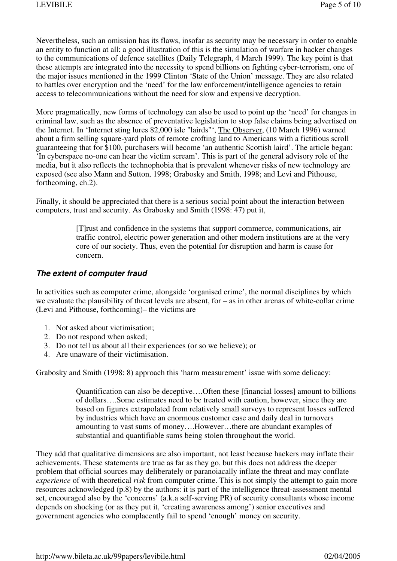Nevertheless, such an omission has its flaws, insofar as security may be necessary in order to enable an entity to function at all: a good illustration of this is the simulation of warfare in hacker changes to the communications of defence satellites (Daily Telegraph, 4 March 1999). The key point is that these attempts are integrated into the necessity to spend billions on fighting cyber-terrorism, one of the major issues mentioned in the 1999 Clinton 'State of the Union' message. They are also related to battles over encryption and the 'need' for the law enforcement/intelligence agencies to retain access to telecommunications without the need for slow and expensive decryption.

More pragmatically, new forms of technology can also be used to point up the 'need' for changes in criminal law, such as the absence of preventative legislation to stop false claims being advertised on the Internet. In 'Internet sting lures 82,000 isle "lairds"', The Observer, (10 March 1996) warned about a firm selling square-yard plots of remote crofting land to Americans with a fictitious scroll guaranteeing that for \$100, purchasers will become 'an authentic Scottish laird'. The article began: 'In cyberspace no-one can hear the victim scream'. This is part of the general advisory role of the media, but it also reflects the technophobia that is prevalent whenever risks of new technology are exposed (see also Mann and Sutton, 1998; Grabosky and Smith, 1998; and Levi and Pithouse, forthcoming, ch.2).

Finally, it should be appreciated that there is a serious social point about the interaction between computers, trust and security. As Grabosky and Smith (1998: 47) put it,

> [T]rust and confidence in the systems that support commerce, communications, air traffic control, electric power generation and other modern institutions are at the very core of our society. Thus, even the potential for disruption and harm is cause for concern.

#### **The extent of computer fraud**

In activities such as computer crime, alongside 'organised crime', the normal disciplines by which we evaluate the plausibility of threat levels are absent, for – as in other arenas of white-collar crime (Levi and Pithouse, forthcoming)– the victims are

- 1. Not asked about victimisation;
- 2. Do not respond when asked;
- 3. Do not tell us about all their experiences (or so we believe); or
- 4. Are unaware of their victimisation.

Grabosky and Smith (1998: 8) approach this 'harm measurement' issue with some delicacy:

Quantification can also be deceptive….Often these [financial losses] amount to billions of dollars….Some estimates need to be treated with caution, however, since they are based on figures extrapolated from relatively small surveys to represent losses suffered by industries which have an enormous customer case and daily deal in turnovers amounting to vast sums of money….However…there are abundant examples of substantial and quantifiable sums being stolen throughout the world.

They add that qualitative dimensions are also important, not least because hackers may inflate their achievements. These statements are true as far as they go, but this does not address the deeper problem that official sources may deliberately or paranoiacally inflate the threat and may conflate *experience* of with theoretical *risk* from computer crime. This is not simply the attempt to gain more resources acknowledged (p.8) by the authors: it is part of the intelligence threat-assessment mental set, encouraged also by the 'concerns' (a.k.a self-serving PR) of security consultants whose income depends on shocking (or as they put it, 'creating awareness among') senior executives and government agencies who complacently fail to spend 'enough' money on security.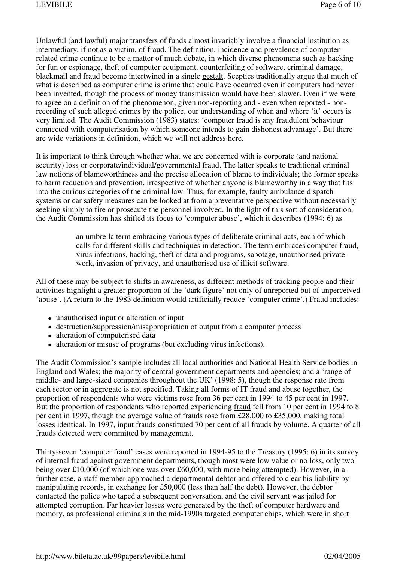Unlawful (and lawful) major transfers of funds almost invariably involve a financial institution as intermediary, if not as a victim, of fraud. The definition, incidence and prevalence of computerrelated crime continue to be a matter of much debate, in which diverse phenomena such as hacking for fun or espionage, theft of computer equipment, counterfeiting of software, criminal damage, blackmail and fraud become intertwined in a single gestalt. Sceptics traditionally argue that much of what is described as computer crime is crime that could have occurred even if computers had never been invented, though the process of money transmission would have been slower. Even if we were to agree on a definition of the phenomenon, given non-reporting and - even when reported - nonrecording of such alleged crimes by the police, our understanding of when and where 'it' occurs is very limited. The Audit Commission (1983) states: 'computer fraud is any fraudulent behaviour connected with computerisation by which someone intends to gain dishonest advantage'. But there are wide variations in definition, which we will not address here.

It is important to think through whether what we are concerned with is corporate (and national security) loss or corporate/individual/governmental fraud. The latter speaks to traditional criminal law notions of blameworthiness and the precise allocation of blame to individuals; the former speaks to harm reduction and prevention, irrespective of whether anyone is blameworthy in a way that fits into the curious categories of the criminal law. Thus, for example, faulty ambulance dispatch systems or car safety measures can be looked at from a preventative perspective without necessarily seeking simply to fire or prosecute the personnel involved. In the light of this sort of consideration, the Audit Commission has shifted its focus to 'computer abuse', which it describes (1994: 6) as

> an umbrella term embracing various types of deliberate criminal acts, each of which calls for different skills and techniques in detection. The term embraces computer fraud, virus infections, hacking, theft of data and programs, sabotage, unauthorised private work, invasion of privacy, and unauthorised use of illicit software.

All of these may be subject to shifts in awareness, as different methods of tracking people and their activities highlight a greater proportion of the 'dark figure' not only of unreported but of unperceived 'abuse'. (A return to the 1983 definition would artificially reduce 'computer crime'.) Fraud includes:

- unauthorised input or alteration of input
- destruction/suppression/misappropriation of output from a computer process
- alteration of computerised data
- alteration or misuse of programs (but excluding virus infections).

The Audit Commission's sample includes all local authorities and National Health Service bodies in England and Wales; the majority of central government departments and agencies; and a 'range of middle- and large-sized companies throughout the UK' (1998: 5), though the response rate from each sector or in aggregate is not specified. Taking all forms of IT fraud and abuse together, the proportion of respondents who were victims rose from 36 per cent in 1994 to 45 per cent in 1997. But the proportion of respondents who reported experiencing fraud fell from 10 per cent in 1994 to 8 per cent in 1997, though the average value of frauds rose from £28,000 to £35,000, making total losses identical. In 1997, input frauds constituted 70 per cent of all frauds by volume. A quarter of all frauds detected were committed by management.

Thirty-seven 'computer fraud' cases were reported in 1994-95 to the Treasury (1995: 6) in its survey of internal fraud against government departments, though most were low value or no loss, only two being over £10,000 (of which one was over £60,000, with more being attempted). However, in a further case, a staff member approached a departmental debtor and offered to clear his liability by manipulating records, in exchange for £50,000 (less than half the debt). However, the debtor contacted the police who taped a subsequent conversation, and the civil servant was jailed for attempted corruption. Far heavier losses were generated by the theft of computer hardware and memory, as professional criminals in the mid-1990s targeted computer chips, which were in short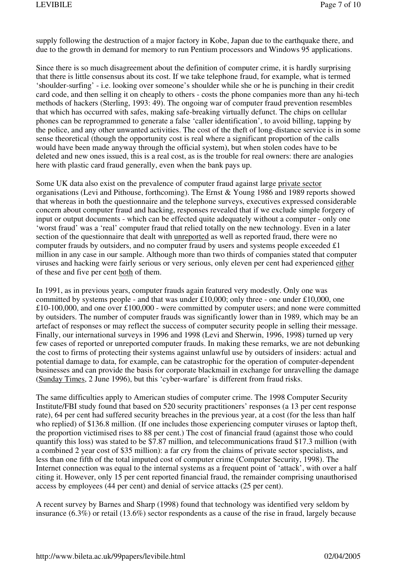supply following the destruction of a major factory in Kobe, Japan due to the earthquake there, and due to the growth in demand for memory to run Pentium processors and Windows 95 applications.

Since there is so much disagreement about the definition of computer crime, it is hardly surprising that there is little consensus about its cost. If we take telephone fraud, for example, what is termed 'shoulder-surfing' - i.e. looking over someone's shoulder while she or he is punching in their credit card code, and then selling it on cheaply to others - costs the phone companies more than any hi-tech methods of hackers (Sterling, 1993: 49). The ongoing war of computer fraud prevention resembles that which has occurred with safes, making safe-breaking virtually defunct. The chips on cellular phones can be reprogrammed to generate a false 'caller identification', to avoid billing, tapping by the police, and any other unwanted activities. The cost of the theft of long-distance service is in some sense theoretical (though the opportunity cost is real where a significant proportion of the calls would have been made anyway through the official system), but when stolen codes have to be deleted and new ones issued, this is a real cost, as is the trouble for real owners: there are analogies here with plastic card fraud generally, even when the bank pays up.

Some UK data also exist on the prevalence of computer fraud against large private sector organisations (Levi and Pithouse, forthcoming). The Ernst & Young 1986 and 1989 reports showed that whereas in both the questionnaire and the telephone surveys, executives expressed considerable concern about computer fraud and hacking, responses revealed that if we exclude simple forgery of input or output documents - which can be effected quite adequately without a computer - only one 'worst fraud' was a 'real' computer fraud that relied totally on the new technology. Even in a later section of the questionnaire that dealt with unreported as well as reported fraud, there were no computer frauds by outsiders, and no computer fraud by users and systems people exceeded £1 million in any case in our sample. Although more than two thirds of companies stated that computer viruses and hacking were fairly serious or very serious, only eleven per cent had experienced either of these and five per cent both of them.

In 1991, as in previous years, computer frauds again featured very modestly. Only one was committed by systems people - and that was under £10,000; only three - one under £10,000, one £10-100,000, and one over £100,000 - were committed by computer users; and none were committed by outsiders. The number of computer frauds was significantly lower than in 1989, which may be an artefact of responses or may reflect the success of computer security people in selling their message. Finally, our international surveys in 1996 and 1998 (Levi and Sherwin, 1996, 1998) turned up very few cases of reported or unreported computer frauds. In making these remarks, we are not debunking the cost to firms of protecting their systems against unlawful use by outsiders of insiders: actual and potential damage to data, for example, can be catastrophic for the operation of computer-dependent businesses and can provide the basis for corporate blackmail in exchange for unravelling the damage (Sunday Times, 2 June 1996), but this 'cyber-warfare' is different from fraud risks.

The same difficulties apply to American studies of computer crime. The 1998 Computer Security Institute/FBI study found that based on 520 security practitioners' responses (a 13 per cent response rate), 64 per cent had suffered security breaches in the previous year, at a cost (for the less than half who replied) of \$136.8 million. (If one includes those experiencing computer viruses or laptop theft, the proportion victimised rises to 88 per cent.) The cost of financial fraud (against those who could quantify this loss) was stated to be \$7.87 million, and telecommunications fraud \$17.3 million (with a combined 2 year cost of \$35 million): a far cry from the claims of private sector specialists, and less than one fifth of the total imputed cost of computer crime (Computer Security, 1998). The Internet connection was equal to the internal systems as a frequent point of 'attack', with over a half citing it. However, only 15 per cent reported financial fraud, the remainder comprising unauthorised access by employees (44 per cent) and denial of service attacks (25 per cent).

A recent survey by Barnes and Sharp (1998) found that technology was identified very seldom by insurance (6.3%) or retail (13.6%) sector respondents as a cause of the rise in fraud, largely because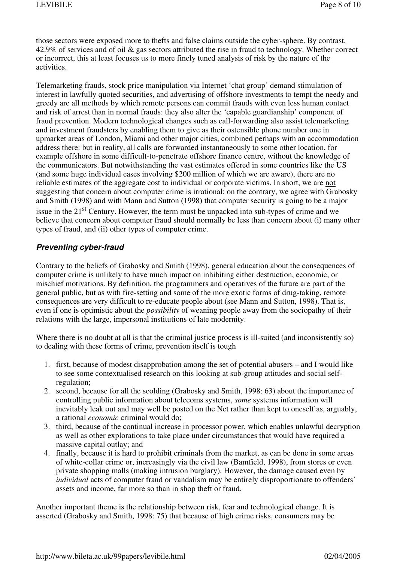those sectors were exposed more to thefts and false claims outside the cyber-sphere. By contrast, 42.9% of services and of oil & gas sectors attributed the rise in fraud to technology. Whether correct or incorrect, this at least focuses us to more finely tuned analysis of risk by the nature of the activities.

Telemarketing frauds, stock price manipulation via Internet 'chat group' demand stimulation of interest in lawfully quoted securities, and advertising of offshore investments to tempt the needy and greedy are all methods by which remote persons can commit frauds with even less human contact and risk of arrest than in normal frauds: they also alter the 'capable guardianship' component of fraud prevention. Modern technological changes such as call-forwarding also assist telemarketing and investment fraudsters by enabling them to give as their ostensible phone number one in upmarket areas of London, Miami and other major cities, combined perhaps with an accommodation address there: but in reality, all calls are forwarded instantaneously to some other location, for example offshore in some difficult-to-penetrate offshore finance centre, without the knowledge of the communicators. But notwithstanding the vast estimates offered in some countries like the US (and some huge individual cases involving \$200 million of which we are aware), there are no reliable estimates of the aggregate cost to individual or corporate victims. In short, we are not suggesting that concern about computer crime is irrational: on the contrary, we agree with Grabosky and Smith (1998) and with Mann and Sutton (1998) that computer security is going to be a major issue in the  $21<sup>st</sup>$  Century. However, the term must be unpacked into sub-types of crime and we believe that concern about computer fraud should normally be less than concern about (i) many other types of fraud, and (ii) other types of computer crime.

### **Preventing cyber-fraud**

Contrary to the beliefs of Grabosky and Smith (1998), general education about the consequences of computer crime is unlikely to have much impact on inhibiting either destruction, economic, or mischief motivations. By definition, the programmers and operatives of the future are part of the general public, but as with fire-setting and some of the more exotic forms of drug-taking, remote consequences are very difficult to re-educate people about (see Mann and Sutton, 1998). That is, even if one is optimistic about the *possibility* of weaning people away from the sociopathy of their relations with the large, impersonal institutions of late modernity.

Where there is no doubt at all is that the criminal justice process is ill-suited (and inconsistently so) to dealing with these forms of crime, prevention itself is tough

- 1. first, because of modest disapprobation among the set of potential abusers and I would like to see some contextualised research on this looking at sub-group attitudes and social selfregulation;
- 2. second, because for all the scolding (Grabosky and Smith, 1998: 63) about the importance of controlling public information about telecoms systems, *some* systems information will inevitably leak out and may well be posted on the Net rather than kept to oneself as, arguably, a rational *economic* criminal would do;
- 3. third, because of the continual increase in processor power, which enables unlawful decryption as well as other explorations to take place under circumstances that would have required a massive capital outlay; and
- 4. finally, because it is hard to prohibit criminals from the market, as can be done in some areas of white-collar crime or, increasingly via the civil law (Bamfield, 1998), from stores or even private shopping malls (making intrusion burglary). However, the damage caused even by *individual* acts of computer fraud or vandalism may be entirely disproportionate to offenders' assets and income, far more so than in shop theft or fraud.

Another important theme is the relationship between risk, fear and technological change. It is asserted (Grabosky and Smith, 1998: 75) that because of high crime risks, consumers may be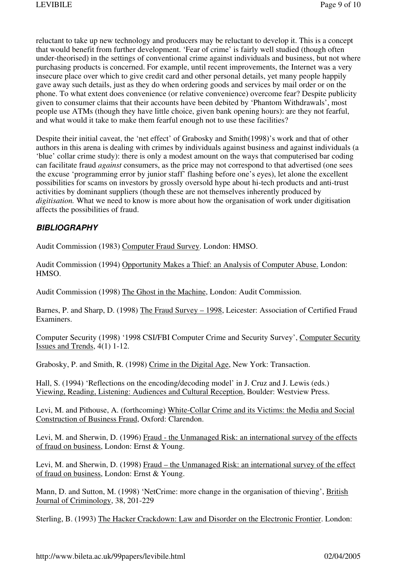reluctant to take up new technology and producers may be reluctant to develop it. This is a concept that would benefit from further development. 'Fear of crime' is fairly well studied (though often under-theorised) in the settings of conventional crime against individuals and business, but not where purchasing products is concerned. For example, until recent improvements, the Internet was a very insecure place over which to give credit card and other personal details, yet many people happily gave away such details, just as they do when ordering goods and services by mail order or on the phone. To what extent does convenience (or relative convenience) overcome fear? Despite publicity given to consumer claims that their accounts have been debited by 'Phantom Withdrawals', most people use ATMs (though they have little choice, given bank opening hours): are they not fearful, and what would it take to make them fearful enough not to use these facilities?

Despite their initial caveat, the 'net effect' of Grabosky and Smith(1998)'s work and that of other authors in this arena is dealing with crimes by individuals against business and against individuals (a 'blue' collar crime study): there is only a modest amount on the ways that computerised bar coding can facilitate fraud *against* consumers, as the price may not correspond to that advertised (one sees the excuse 'programming error by junior staff' flashing before one's eyes), let alone the excellent possibilities for scams on investors by grossly oversold hype about hi-tech products and anti-trust activities by dominant suppliers (though these are not themselves inherently produced by *digitisation.* What we need to know is more about how the organisation of work under digitisation affects the possibilities of fraud.

#### **BIBLIOGRAPHY**

Audit Commission (1983) Computer Fraud Survey. London: HMSO.

Audit Commission (1994) Opportunity Makes a Thief: an Analysis of Computer Abuse. London: HMSO.

Audit Commission (1998) The Ghost in the Machine, London: Audit Commission.

Barnes, P. and Sharp, D. (1998) The Fraud Survey – 1998, Leicester: Association of Certified Fraud Examiners.

Computer Security (1998) '1998 CSI/FBI Computer Crime and Security Survey', Computer Security Issues and Trends, 4(1) 1-12.

Grabosky, P. and Smith, R. (1998) Crime in the Digital Age, New York: Transaction.

Hall, S. (1994) 'Reflections on the encoding/decoding model' in J. Cruz and J. Lewis (eds.) Viewing, Reading, Listening: Audiences and Cultural Reception, Boulder: Westview Press.

Levi, M. and Pithouse, A. (forthcoming) White-Collar Crime and its Victims: the Media and Social Construction of Business Fraud, Oxford: Clarendon.

Levi, M. and Sherwin, D. (1996) Fraud - the Unmanaged Risk: an international survey of the effects of fraud on business, London: Ernst & Young.

Levi, M. and Sherwin, D. (1998) Fraud – the Unmanaged Risk: an international survey of the effect of fraud on business, London: Ernst & Young.

Mann, D. and Sutton, M. (1998) 'NetCrime: more change in the organisation of thieving', British Journal of Criminology, 38, 201-229

Sterling, B. (1993) The Hacker Crackdown: Law and Disorder on the Electronic Frontier. London: